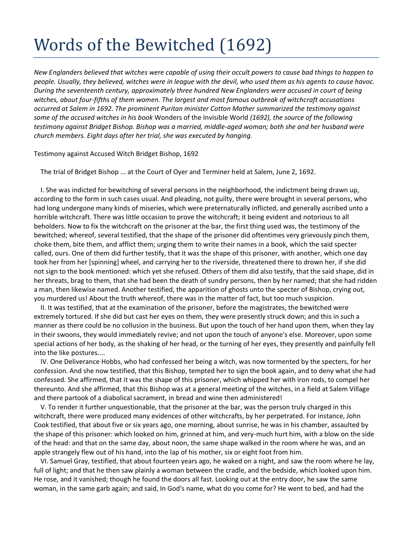## Words of the Bewitched (1692)

*New Englanders believed that witches were capable of using their occult powers to cause bad things to happen to people. Usually, they believed, witches were in league with the devil, who used them as his agents to cause havoc. During the seventeenth century, approximately three hundred New Englanders were accused in court of being witches, about four-fifths of them women. The largest and most famous outbreak of witchcraft accusations occurred at Salem in 1692. The prominent Puritan minister Cotton Mather summarized the testimony against some of the accused witches in his book* Wonders of the Invisible World *(1692), the source of the following testimony against Bridget Bishop. Bishop was a married, middle-aged woman; both she and her husband were church members. Eight days after her trial, she was executed by hanging.*

Testimony against Accused Witch Bridget Bishop, 1692

The trial of Bridget Bishop ... at the Court of Oyer and Terminer held at Salem, June 2, 1692.

 I. She was indicted for bewitching of several persons in the neighborhood, the indictment being drawn up, according to the form in such cases usual. And pleading, not guilty, there were brought in several persons, who had long undergone many kinds of miseries, which were preternaturally inflicted, and generally ascribed unto a horrible witchcraft. There was little occasion to prove the witchcraft; it being evident and notorious to all beholders. Now to fix the witchcraft on the prisoner at the bar, the first thing used was, the testimony of the bewitched; whereof, several testified, that the shape of the prisoner did oftentimes very grievously pinch them, choke them, bite them, and afflict them; urging them to write their names in a book, which the said specter called, ours. One of them did further testify, that it was the shape of this prisoner, with another, which one day took her from her [spinning] wheel, and carrying her to the riverside, threatened there to drown her, if she did not sign to the book mentioned: which yet she refused. Others of them did also testify, that the said shape, did in her threats, brag to them, that she had been the death of sundry persons, then by her named; that she had ridden a man, then likewise named. Another testified, the apparition of ghosts unto the specter of Bishop, crying out, you murdered us! About the truth whereof, there was in the matter of fact, but too much suspicion.

 II. It was testified, that at the examination of the prisoner, before the magistrates, the bewitched were extremely tortured. If she did but cast her eyes on them, they were presently struck down; and this in such a manner as there could be no collusion in the business. But upon the touch of her hand upon them, when they lay in their swoons, they would immediately revive; and not upon the touch of anyone's else. Moreover, upon some special actions of her body, as the shaking of her head, or the turning of her eyes, they presently and painfully fell into the like postures....

 IV. One Deliverance Hobbs, who had confessed her being a witch, was now tormented by the specters, for her confession. And she now testified, that this Bishop, tempted her to sign the book again, and to deny what she had confessed. She affirmed, that it was the shape of this prisoner, which whipped her with iron rods, to compel her thereunto. And she affirmed, that this Bishop was at a general meeting of the witches, in a field at Salem Village and there partook of a diabolical sacrament, in bread and wine then administered!

 V. To render it further unquestionable, that the prisoner at the bar, was the person truly charged in this witchcraft, there were produced many evidences of other witchcrafts, by her perpetrated. For instance, John Cook testified, that about five or six years ago, one morning, about sunrise, he was in his chamber, assaulted by the shape of this prisoner: which looked on him, grinned at him, and very-much hurt him, with a blow on the side of the head: and that on the same day, about noon, the same shape walked in the room where he was, and an apple strangely flew out of his hand, into the lap of his mother, six or eight foot from him.

 VI. Samuel Gray, testified, that about fourteen years ago, he waked on a night, and saw the room where he lay, full of light; and that he then saw plainly a woman between the cradle, and the bedside, which looked upon him. He rose, and it vanished; though he found the doors all fast. Looking out at the entry door, he saw the same woman, in the same garb again; and said, In God's name, what do you come for? He went to bed, and had the